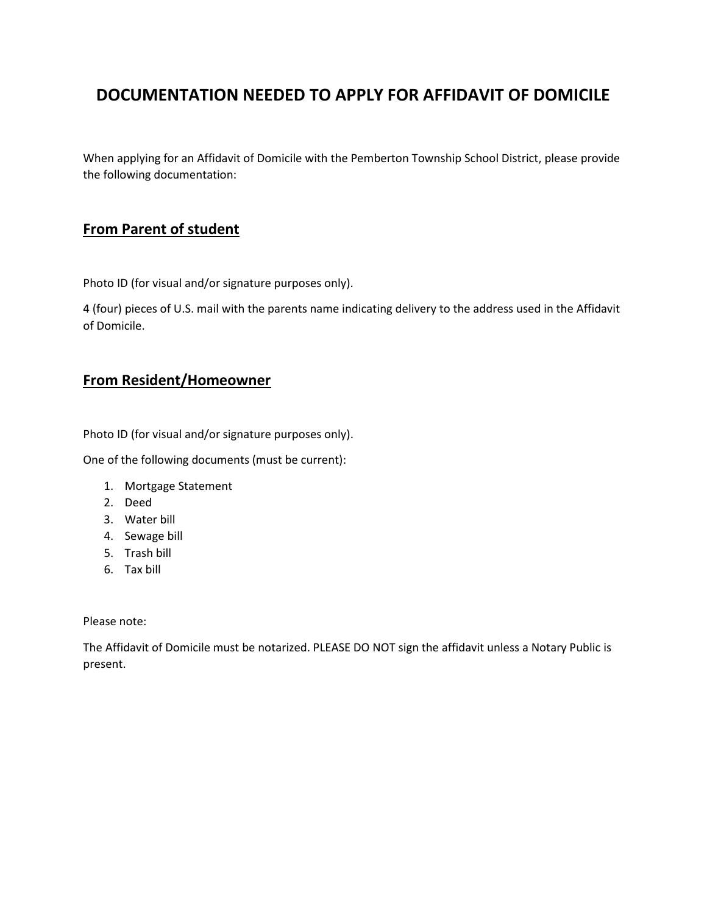# **DOCUMENTATION NEEDED TO APPLY FOR AFFIDAVIT OF DOMICILE**

When applying for an Affidavit of Domicile with the Pemberton Township School District, please provide the following documentation:

#### **From Parent of student**

Photo ID (for visual and/or signature purposes only).

4 (four) pieces of U.S. mail with the parents name indicating delivery to the address used in the Affidavit of Domicile.

#### **From Resident/Homeowner**

Photo ID (for visual and/or signature purposes only).

One of the following documents (must be current):

- 1. Mortgage Statement
- 2. Deed
- 3. Water bill
- 4. Sewage bill
- 5. Trash bill
- 6. Tax bill

#### Please note:

The Affidavit of Domicile must be notarized. PLEASE DO NOT sign the affidavit unless a Notary Public is present.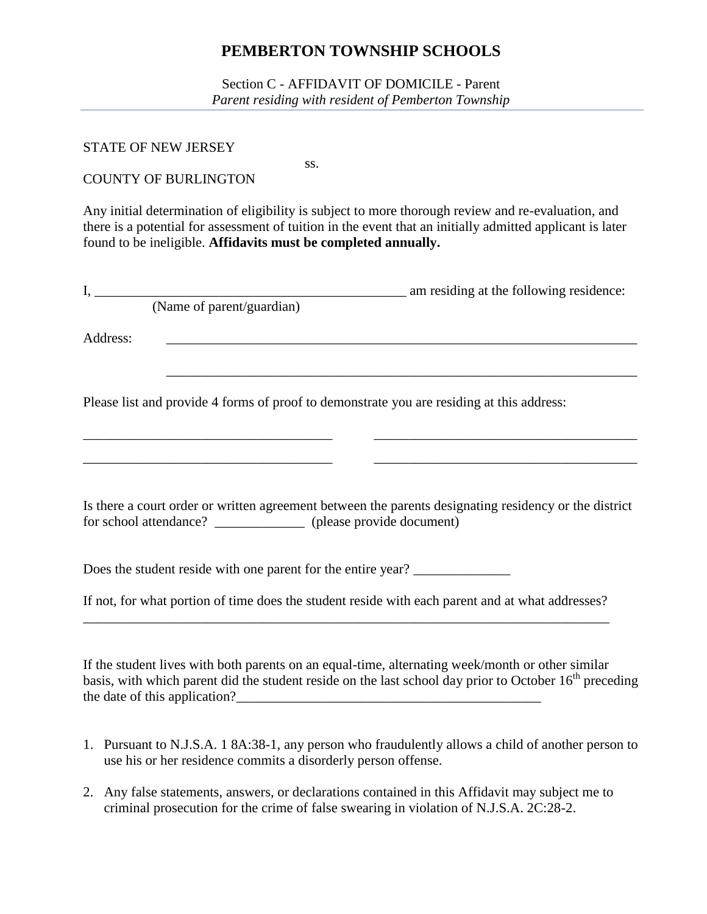Section C - AFFIDAVIT OF DOMICILE - Parent *Parent residing with resident of Pemberton Township*

#### STATE OF NEW JERSEY

ss. COUNTY OF BURLINGTON

Any initial determination of eligibility is subject to more thorough review and re-evaluation, and there is a potential for assessment of tuition in the event that an initially admitted applicant is later found to be ineligible. **Affidavits must be completed annually.**

|          | (Name of parent/guardian)                                       |                                                                                                                                                                                                                                                      |
|----------|-----------------------------------------------------------------|------------------------------------------------------------------------------------------------------------------------------------------------------------------------------------------------------------------------------------------------------|
| Address: |                                                                 |                                                                                                                                                                                                                                                      |
|          |                                                                 | Please list and provide 4 forms of proof to demonstrate you are residing at this address:                                                                                                                                                            |
|          | for school attendance? ______________ (please provide document) | <u> 1989 - Jan James James, martin de ferror estatubat eta errora (h. 1989).</u><br>Is there a court order or written agreement between the parents designating residency or the district                                                            |
|          |                                                                 | Does the student reside with one parent for the entire year?                                                                                                                                                                                         |
|          |                                                                 | If not, for what portion of time does the student reside with each parent and at what addresses?                                                                                                                                                     |
|          |                                                                 | If the student lives with both parents on an equal-time, alternating week/month or other similar<br>to the contribution of contract the construction of the contraction of the contract $\alpha$ of $\alpha$ and $\epsilon^{\text{th}}$ construction |

basis, with which parent did the student reside on the last school day prior to October  $16<sup>th</sup>$  preceding the date of this application?

- 1. Pursuant to N.J.S.A. 1 8A:38-1, any person who fraudulently allows a child of another person to use his or her residence commits a disorderly person offense.
- 2. Any false statements, answers, or declarations contained in this Affidavit may subject me to criminal prosecution for the crime of false swearing in violation of N.J.S.A. 2C:28-2.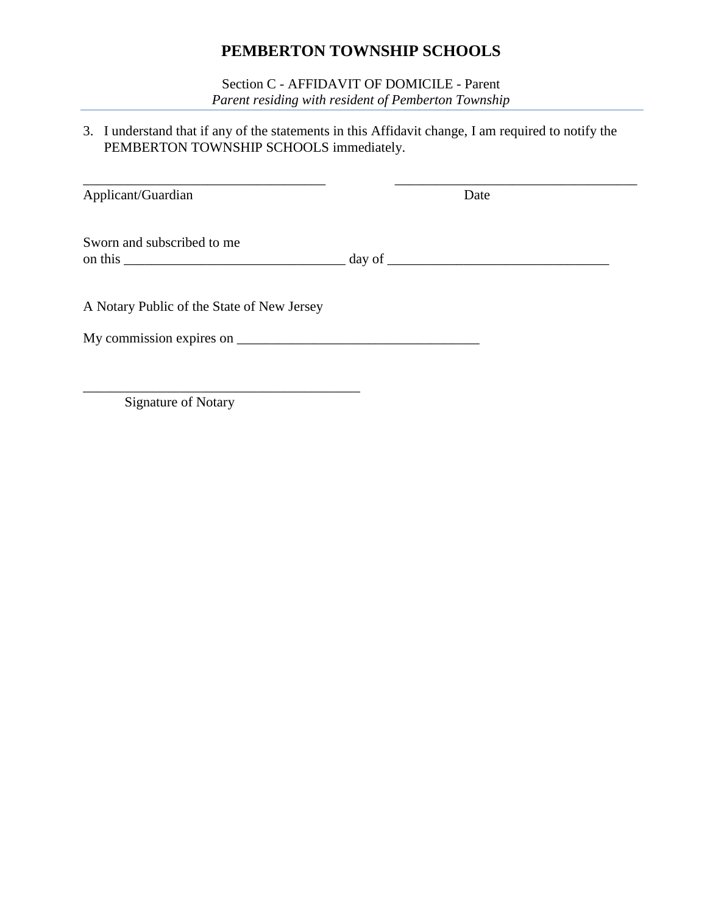Section C - AFFIDAVIT OF DOMICILE - Parent *Parent residing with resident of Pemberton Township*

3. I understand that if any of the statements in this Affidavit change, I am required to notify the PEMBERTON TOWNSHIP SCHOOLS immediately.

| Applicant/Guardian                         | Date |  |
|--------------------------------------------|------|--|
| Sworn and subscribed to me                 |      |  |
| A Notary Public of the State of New Jersey |      |  |
|                                            |      |  |

Signature of Notary

\_\_\_\_\_\_\_\_\_\_\_\_\_\_\_\_\_\_\_\_\_\_\_\_\_\_\_\_\_\_\_\_\_\_\_\_\_\_\_\_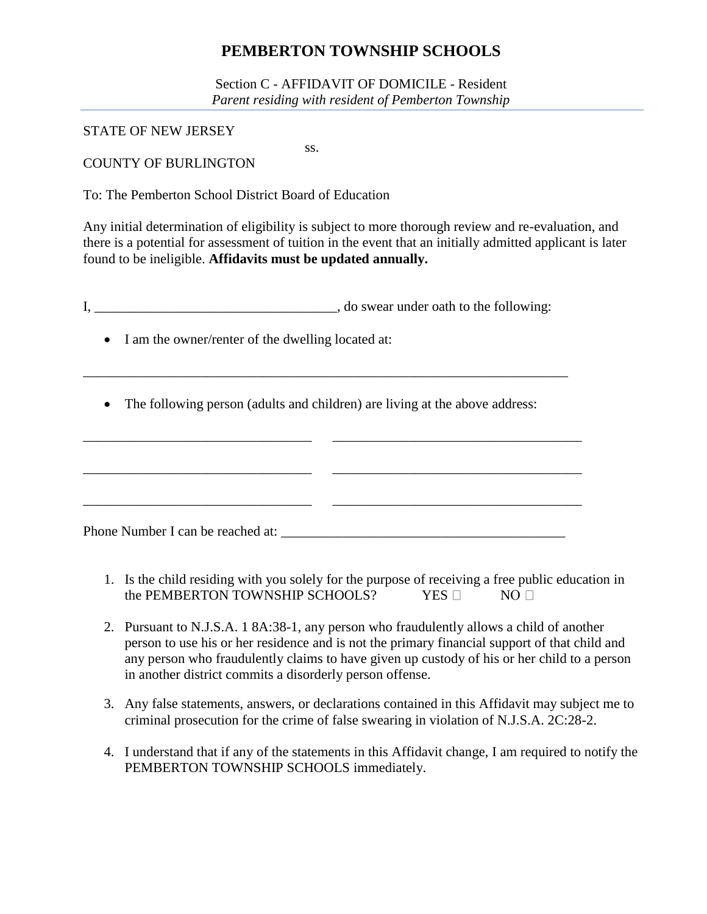Section C - AFFIDAVIT OF DOMICILE - Resident *Parent residing with resident of Pemberton Township*

STATE OF NEW JERSEY

ss.

COUNTY OF BURLINGTON

To: The Pemberton School District Board of Education

Any initial determination of eligibility is subject to more thorough review and re-evaluation, and there is a potential for assessment of tuition in the event that an initially admitted applicant is later found to be ineligible. **Affidavits must be updated annually.**

I, the swear under oath to the following:

- I am the owner/renter of the dwelling located at:
- The following person (adults and children) are living at the above address:

\_\_\_\_\_\_\_\_\_\_\_\_\_\_\_\_\_\_\_\_\_\_\_\_\_\_\_\_\_\_\_\_\_\_\_\_\_\_\_\_\_\_\_\_\_\_\_\_\_\_\_\_\_\_\_\_\_\_\_\_\_\_\_\_\_\_\_\_\_\_

\_\_\_\_\_\_\_\_\_\_\_\_\_\_\_\_\_\_\_\_\_\_\_\_\_\_\_\_\_\_\_\_\_ \_\_\_\_\_\_\_\_\_\_\_\_\_\_\_\_\_\_\_\_\_\_\_\_\_\_\_\_\_\_\_\_\_\_\_\_ \_\_\_\_\_\_\_\_\_\_\_\_\_\_\_\_\_\_\_\_\_\_\_\_\_\_\_\_\_\_\_\_\_ \_\_\_\_\_\_\_\_\_\_\_\_\_\_\_\_\_\_\_\_\_\_\_\_\_\_\_\_\_\_\_\_\_\_\_\_ \_\_\_\_\_\_\_\_\_\_\_\_\_\_\_\_\_\_\_\_\_\_\_\_\_\_\_\_\_\_\_\_\_ \_\_\_\_\_\_\_\_\_\_\_\_\_\_\_\_\_\_\_\_\_\_\_\_\_\_\_\_\_\_\_\_\_\_\_\_ Phone Number I can be reached at: \_\_\_\_\_\_\_\_\_\_\_\_\_\_\_\_\_\_\_\_\_\_\_\_\_\_\_\_\_\_\_\_\_\_\_\_\_\_\_\_\_

- 1. Is the child residing with you solely for the purpose of receiving a free public education in the PEMBERTON TOWNSHIP SCHOOLS? YES  $\square$  NO  $\square$
- 2. Pursuant to N.J.S.A. 1 8A:38-1, any person who fraudulently allows a child of another person to use his or her residence and is not the primary financial support of that child and any person who fraudulently claims to have given up custody of his or her child to a person in another district commits a disorderly person offense.
- 3. Any false statements, answers, or declarations contained in this Affidavit may subject me to criminal prosecution for the crime of false swearing in violation of N.J.S.A. 2C:28-2.
- 4. I understand that if any of the statements in this Affidavit change, I am required to notify the PEMBERTON TOWNSHIP SCHOOLS immediately.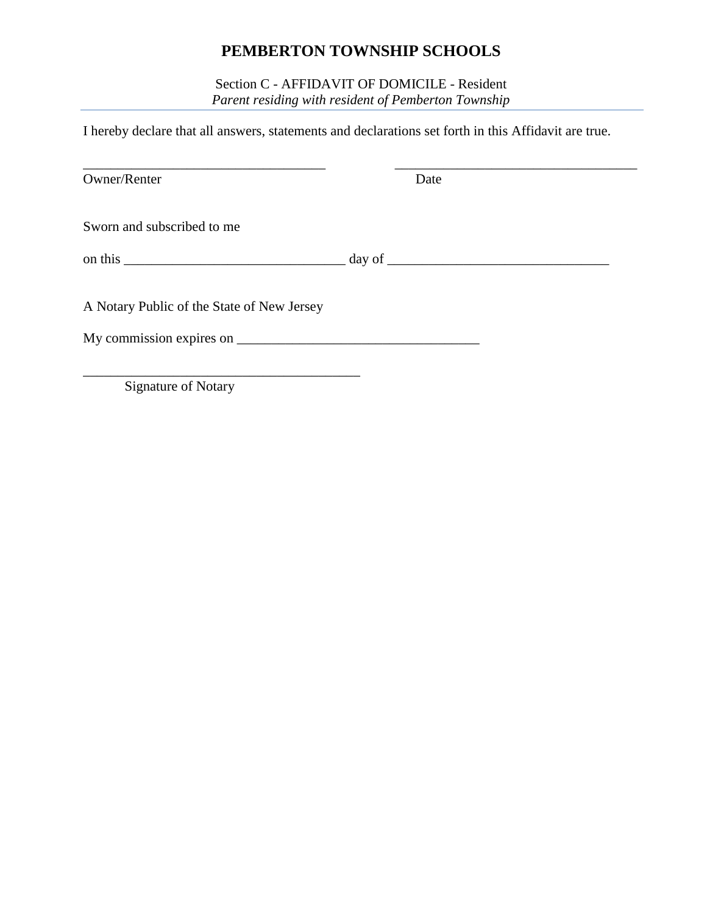Section C - AFFIDAVIT OF DOMICILE - Resident *Parent residing with resident of Pemberton Township*

I hereby declare that all answers, statements and declarations set forth in this Affidavit are true.

| Owner/Renter                                                   | Date |  |
|----------------------------------------------------------------|------|--|
| Sworn and subscribed to me                                     |      |  |
|                                                                |      |  |
| A Notary Public of the State of New Jersey                     |      |  |
|                                                                |      |  |
| $C_{\text{max}}$ $\sim$ $C_{\text{N}}$ $\sim$ $C_{\text{max}}$ |      |  |

Signature of Notary